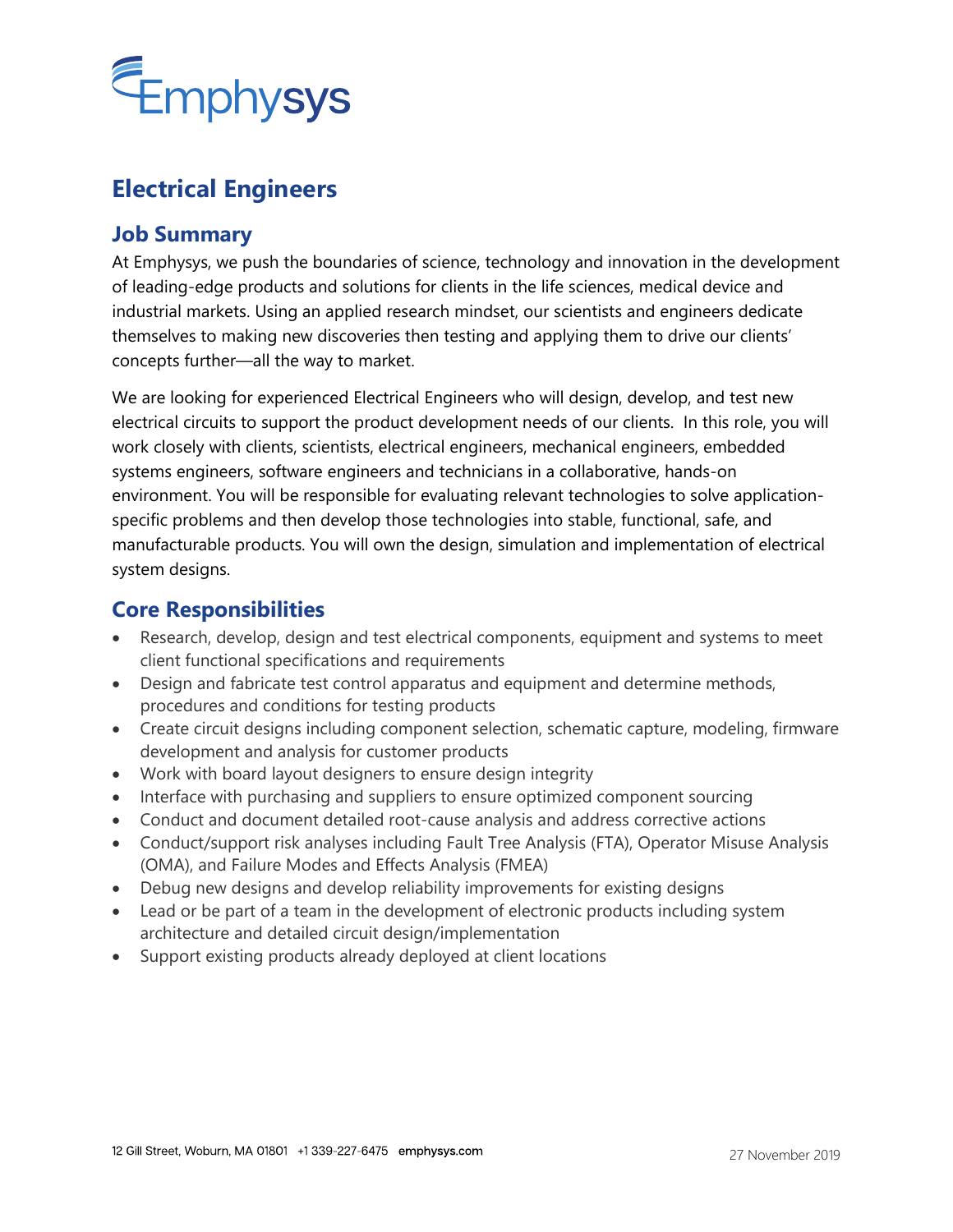

## **Electrical Engineers**

## **Job Summary**

At Emphysys, we push the boundaries of science, technology and innovation in the development of leading-edge products and solutions for clients in the life sciences, medical device and industrial markets. Using an applied research mindset, our scientists and engineers dedicate themselves to making new discoveries then testing and applying them to drive our clients' concepts further—all the way to market.

We are looking for experienced Electrical Engineers who will design, develop, and test new electrical circuits to support the product development needs of our clients. In this role, you will work closely with clients, scientists, electrical engineers, mechanical engineers, embedded systems engineers, software engineers and technicians in a collaborative, hands-on environment. You will be responsible for evaluating relevant technologies to solve applicationspecific problems and then develop those technologies into stable, functional, safe, and manufacturable products. You will own the design, simulation and implementation of electrical system designs.

## **Core Responsibilities**

- Research, develop, design and test electrical components, equipment and systems to meet client functional specifications and requirements
- Design and fabricate test control apparatus and equipment and determine methods, procedures and conditions for testing products
- Create circuit designs including component selection, schematic capture, modeling, firmware development and analysis for customer products
- Work with board layout designers to ensure design integrity
- Interface with purchasing and suppliers to ensure optimized component sourcing
- Conduct and document detailed root-cause analysis and address corrective actions
- Conduct/support risk analyses including Fault Tree Analysis (FTA), Operator Misuse Analysis (OMA), and Failure Modes and Effects Analysis (FMEA)
- Debug new designs and develop reliability improvements for existing designs
- Lead or be part of a team in the development of electronic products including system architecture and detailed circuit design/implementation
- Support existing products already deployed at client locations